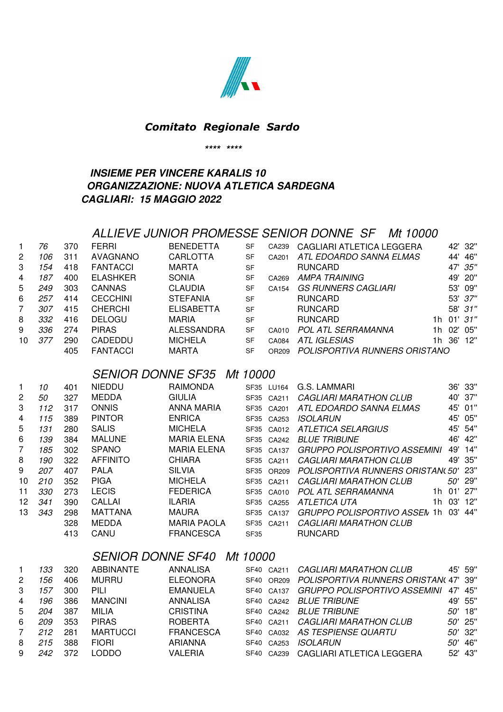

#### *Comitato Regionale Sardo*

**\*\*\*\* \*\*\*\***

### **INSIEME PER VINCERE KARALIS 10 ORGANIZZAZIONE: NUOVA ATLETICA SARDEGNA CAGLIARI: 15 MAGGIO 2022**

### ALLIEVE JUNIOR PROMESSE SENIOR DONNE SF Mt 10000

| 1              | 76  | 370  | <b>FERRI</b>             | <b>BENEDETTA</b>   | <b>SF</b>        | CA239      | CAGLIARI ATLETICA LEGGERA           |    |        | 42' 32"      |
|----------------|-----|------|--------------------------|--------------------|------------------|------------|-------------------------------------|----|--------|--------------|
| 2              | 106 | 311  | <b>AVAGNANO</b>          | <b>CARLOTTA</b>    | <b>SF</b>        | CA201      | ATL EDOARDO SANNA ELMAS             |    | 44'    | 46"          |
| 3              | 154 | 418  | <b>FANTACCI</b>          | <b>MARTA</b>       | <b>SF</b>        |            | <b>RUNCARD</b>                      |    | 47'    | 35"          |
| 4              | 187 | 400  | <b>ELASHKER</b>          | <b>SONIA</b>       | <b>SF</b>        | CA269      | <b>AMPA TRAINING</b>                |    | 49'    | 20"          |
| 5              | 249 | 303  | <b>CANNAS</b>            | <b>CLAUDIA</b>     | <b>SF</b>        | CA154      | <b>GS RUNNERS CAGLIARI</b>          |    | 53'    | 09"          |
| 6              | 257 | 414  | <b>CECCHINI</b>          | <b>STEFANIA</b>    | <b>SF</b>        |            | <b>RUNCARD</b>                      |    |        | 53' 37"      |
| 7              | 307 | 415  | <b>CHERCHI</b>           | <b>ELISABETTA</b>  | <b>SF</b>        |            | <b>RUNCARD</b>                      |    | 58'    | 31"          |
| 8              | 332 | 416  | <b>DELOGU</b>            | <b>MARIA</b>       | <b>SF</b>        |            | <b>RUNCARD</b>                      | 1h |        | $01'$ $31''$ |
| 9              | 336 | 274  | <b>PIRAS</b>             | ALESSANDRA         | <b>SF</b>        | CA010      | <b>POL ATL SERRAMANNA</b>           | 1h | 02'    | 05"          |
| 10             | 377 | 290  | CADEDDU                  | <b>MICHELA</b>     | <b>SF</b>        | CA084      | <b>ATL IGLESIAS</b>                 |    | 1h 36' | 12"          |
|                |     | 405  | <b>FANTACCI</b>          | <b>MARTA</b>       | <b>SF</b>        | OR209      | POLISPORTIVA RUNNERS ORISTANO       |    |        |              |
|                |     |      |                          |                    |                  |            |                                     |    |        |              |
|                |     |      | <b>SENIOR DONNE SF35</b> |                    | Mt 10000         |            |                                     |    |        |              |
| 1              | 10  | 401  | <b>NIEDDU</b>            | <b>RAIMONDA</b>    |                  | SF35 LU164 | G.S. LAMMARI                        |    |        | 36' 33"      |
| $\overline{2}$ | 50  | 327  | <b>MEDDA</b>             | <b>GIULIA</b>      |                  | SF35 CA211 | <i>CAGLIARI MARATHON CLUB</i>       |    |        | 40' 37"      |
| 3              | 112 | 317  | <b>ONNIS</b>             | ANNA MARIA         |                  | SF35 CA201 | ATL EDOARDO SANNA ELMAS             |    | 45'    | 01"          |
| 4              | 115 | 389  | <b>PINTOR</b>            | <b>ENRICA</b>      | SF35             | CA253      | <b>ISOLARUN</b>                     |    | 45'    | 05"          |
| 5              | 131 | 280  | <b>SALIS</b>             | <b>MICHELA</b>     | SF <sub>35</sub> | CA012      | <b>ATLETICA SELARGIUS</b>           |    | 45'    | 54"          |
| 6              | 139 | 384  | <b>MALUNE</b>            | <b>MARIA ELENA</b> |                  | SF35 CA242 | <b>BLUE TRIBUNE</b>                 |    | 46'    | 42"          |
| 7              | 185 | 302  | <b>SPANO</b>             | <b>MARIA ELENA</b> | SF35             | CA137      | <b>GRUPPO POLISPORTIVO ASSEMINI</b> |    | 49'    | 14"          |
| 8              | 190 | 322  | <b>AFFINITO</b>          | <b>CHIARA</b>      | SF <sub>35</sub> | CA211      | <b>CAGLIARI MARATHON CLUB</b>       |    | 49'    | 35"          |
| 9              | 207 | 407  | <b>PALA</b>              | <b>SILVIA</b>      | SF <sub>35</sub> | OR209      | POLISPORTIVA RUNNERS ORISTAN(50'    |    |        | 23"          |
| 10             | 210 | 352  | <b>PIGA</b>              | <b>MICHELA</b>     | SF35             | CA211      | <b>CAGLIARI MARATHON CLUB</b>       |    |        | 50' 29"      |
| 11             | 330 | 273  | <b>LECIS</b>             | <b>FEDERICA</b>    | <b>SF35</b>      | CA010      | <b>POL ATL SERRAMANNA</b>           |    |        | 1h 01' 27"   |
| 12             | 341 | 390  | CALLAI                   | <b>ILARIA</b>      | SF35             | CA255      | ATLETICA UTA                        | 1h | 03'    | 12"          |
| 13             | 343 | 298  | <b>MATTANA</b>           | <b>MAURA</b>       | SF35             | CA137      | GRUPPO POLISPORTIVO ASSEN 1h 03'    |    |        | 44"          |
|                |     | 328  | <b>MEDDA</b>             | <b>MARIA PAOLA</b> | <b>SF35</b>      | CA211      | <b>CAGLIARI MARATHON CLUB</b>       |    |        |              |
|                |     | 11 Q | CANII                    | ERANCESCA          | <b>CEOF</b>      |            | <b>DUNCARD</b>                      |    |        |              |

413 CANU FRANCESCA SF35 RUNCARD

# SENIOR DONNE SF40 Mt 10000

| 1.          | 133 | 320 | ABBINANTE       | <b>ANNALISA</b>  |      | SF40 CA211 | <b>CAGLIARI MARATHON CLUB</b>        |           | 45' 59" |
|-------------|-----|-----|-----------------|------------------|------|------------|--------------------------------------|-----------|---------|
| 2           | 156 | 406 | MURRU           | <b>ELEONORA</b>  |      | SF40 OR209 | POLISPORTIVA RUNNERS ORISTAN(47' 39" |           |         |
| 3           | 157 | 300 | <b>PILI</b>     | <b>EMANUELA</b>  |      | SF40 CA137 | GRUPPO POLISPORTIVO ASSEMINI         |           | 47' 45" |
| 4           | 196 | 386 | <b>MANCINI</b>  | ANNALISA         |      | SF40 CA242 | <i>BLUE TRIBUNE</i>                  |           | 49' 55" |
| 5           | 204 | 387 | MILIA           | <b>CRISTINA</b>  |      | SF40 CA242 | <i>BLUE TRIBUNE</i>                  | $50'$ 18" |         |
| 6           | 209 | 353 | <b>PIRAS</b>    | <b>ROBERTA</b>   |      | SF40 CA211 | CAGLIARI MARATHON CLUB               | $50'$ 25" |         |
| $7^{\circ}$ | 212 | 281 | <b>MARTUCCI</b> | <b>FRANCESCA</b> |      | SF40 CA032 | AS TESPIENSE QUARTU                  | $50'$ 32" |         |
| 8           | 215 | 388 | <b>FIORI</b>    | <b>ARIANNA</b>   | SF40 | CA253      | <i>ISOLARUN</i>                      | $50'$ 46" |         |
| 9           | 242 | 372 | LODDO.          | VALERIA          |      | SF40 CA239 | CAGLIARI ATLETICA LEGGERA            |           | 52' 43" |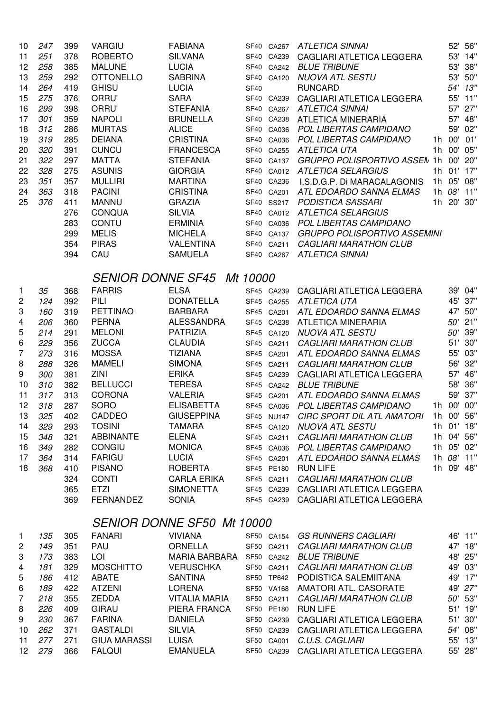| 10             | 247 | 399 | <b>VARGIU</b>       | <b>FABIANA</b>                    |             |            | SF40 CA267 ATLETICA SINNAI              |            | 52' 56"    |
|----------------|-----|-----|---------------------|-----------------------------------|-------------|------------|-----------------------------------------|------------|------------|
| 11             | 251 | 378 | <b>ROBERTO</b>      | <b>SILVANA</b>                    |             | SF40 CA239 | CAGLIARI ATLETICA LEGGERA               |            | 53' 14"    |
| 12             | 258 | 385 | <b>MALUNE</b>       | <b>LUCIA</b>                      |             |            | SF40 CA242 BLUE TRIBUNE                 |            | 53' 38"    |
| 13             | 259 | 292 | <b>OTTONELLO</b>    | <b>SABRINA</b>                    |             | SF40 CA120 | NUOVA ATL SESTU                         |            | 53' 50"    |
| 14             | 264 | 419 | <b>GHISU</b>        | <b>LUCIA</b>                      | <b>SF40</b> |            | <b>RUNCARD</b>                          |            | 54' 13"    |
| 15             | 275 | 376 | ORRU'               | <b>SARA</b>                       |             | SF40 CA239 | CAGLIARI ATLETICA LEGGERA               |            | 55' 11"    |
| 16             | 299 | 398 | ORRU'               | <b>STEFANIA</b>                   |             | SF40 CA267 | <b>ATLETICA SINNAI</b>                  |            | 57' 27"    |
| 17             | 301 | 359 | <b>NAPOLI</b>       | <b>BRUNELLA</b>                   |             | SF40 CA238 | <b>ATLETICA MINERARIA</b>               |            | 57' 48"    |
| 18             | 312 | 286 | <b>MURTAS</b>       | <b>ALICE</b>                      |             | SF40 CA036 | POL LIBERTAS CAMPIDANO                  |            | 59' 02"    |
| 19             | 319 | 285 | <b>DEIANA</b>       | <b>CRISTINA</b>                   |             | SF40 CA036 | POL LIBERTAS CAMPIDANO                  | 1h 00' 01' |            |
| 20             | 320 | 391 | <b>CUNCU</b>        | <b>FRANCESCA</b>                  |             | SF40 CA255 | ATLETICA UTA                            | 1h 00'     | 05"        |
| 21             | 322 | 297 | <b>MATTA</b>        | <b>STEFANIA</b>                   |             | SF40 CA137 | GRUPPO POLISPORTIVO ASSEN 1h 00' 20"    |            |            |
| 22             | 328 | 275 | <b>ASUNIS</b>       | <b>GIORGIA</b>                    |             |            | SF40 CA012 ATLETICA SELARGIUS           | 1h 01' 17" |            |
| 23             | 351 | 357 | <b>MULLIRI</b>      | <b>MARTINA</b>                    |             | SF40 CA236 | I.S.D.G.P. Di MARACALAGONIS             | 1h 05' 08" |            |
| 24             | 363 | 318 | <b>PACINI</b>       | <b>CRISTINA</b>                   |             |            | SF40 CA201 ATL EDOARDO SANNA ELMAS      | 1h 08'     | $11"$      |
| 25             | 376 | 411 | <b>MANNU</b>        | <b>GRAZIA</b>                     |             |            | SF40 SS217 PODISTICA SASSARI            | 1h 20'     | 30"        |
|                |     | 276 | <b>CONQUA</b>       | <b>SILVIA</b>                     |             |            | SF40 CA012 ATLETICA SELARGIUS           |            |            |
|                |     | 283 | <b>CONTU</b>        | <b>ERMINIA</b>                    |             |            | SF40 CA036 POL LIBERTAS CAMPIDANO       |            |            |
|                |     | 299 | <b>MELIS</b>        | <b>MICHELA</b>                    |             |            | SF40 CA137 GRUPPO POLISPORTIVO ASSEMINI |            |            |
|                |     | 354 | <b>PIRAS</b>        | <b>VALENTINA</b>                  |             | SF40 CA211 | <b>CAGLIARI MARATHON CLUB</b>           |            |            |
|                |     | 394 | CAU                 | <b>SAMUELA</b>                    |             |            | SF40 CA267 ATLETICA SINNAI              |            |            |
|                |     |     |                     | <b>SENIOR DONNE SF45 Mt 10000</b> |             |            |                                         |            |            |
| $\mathbf{1}$   | 35  | 368 | <b>FARRIS</b>       | <b>ELSA</b>                       |             | SF45 CA239 | CAGLIARI ATLETICA LEGGERA               |            | 39' 04"    |
| 2              | 124 | 392 | PILI                | <b>DONATELLA</b>                  |             | SF45 CA255 | ATLETICA UTA                            |            | 45' 37"    |
| 3              | 160 | 319 | <b>PETTINAO</b>     | <b>BARBARA</b>                    |             | SF45 CA201 | ATL EDOARDO SANNA ELMAS                 |            | 47' 50"    |
| 4              | 206 | 360 | <b>PERNA</b>        | <b>ALESSANDRA</b>                 |             | SF45 CA238 | <b>ATLETICA MINERARIA</b>               |            | 50' 21"    |
| 5              | 214 | 291 | <b>MELONI</b>       | <b>PATRIZIA</b>                   |             | SF45 CA120 | <b>NUOVA ATL SESTU</b>                  |            | 50' 39"    |
| 6              | 229 | 356 | <b>ZUCCA</b>        | <b>CLAUDIA</b>                    |             | SF45 CA211 | <b>CAGLIARI MARATHON CLUB</b>           |            | 51' 30"    |
| $\overline{7}$ | 273 | 316 | <b>MOSSA</b>        | <b>TIZIANA</b>                    |             | SF45 CA201 | ATL EDOARDO SANNA ELMAS                 |            | 55' 03"    |
| 8              | 288 | 326 | <b>MAMELI</b>       | <b>SIMONA</b>                     |             | SF45 CA211 | <b>CAGLIARI MARATHON CLUB</b>           |            | 56' 32"    |
| 9              | 300 | 381 | ZINI                | <b>ERIKA</b>                      |             | SF45 CA239 | CAGLIARI ATLETICA LEGGERA               |            | 57' 46"    |
| 10             | 310 | 382 | <b>BELLUCCI</b>     | <b>TERESA</b>                     |             |            | SF45 CA242 BLUE TRIBUNE                 | 58'        | 36"        |
| 11             | 317 | 313 | <b>CORONA</b>       | <b>VALERIA</b>                    |             |            | SF45 CA201 ATL EDOARDO SANNA ELMAS      | 59'        | 37"        |
| 12             | 318 | 287 | <b>SORO</b>         | <b>ELISABETTA</b>                 |             |            | SF45 CA036 POL LIBERTAS CAMPIDANO       | 1h 00'     | 00"        |
| 13             | 325 | 402 | CADDEO              | <b>GIUSEPPINA</b>                 |             |            | SF45 NU147 CIRC SPORT DIL ATL AMATORI   | 1h 00'     | 56"        |
| 14             | 329 | 293 | <b>TOSINI</b>       | <b>TAMARA</b>                     |             | SF45 CA120 | <b>NUOVA ATL SESTU</b>                  | 1h 01' 18" |            |
| 15             | 348 | 321 | <b>ABBINANTE</b>    | <b>ELENA</b>                      |             | SF45 CA211 | <b>CAGLIARI MARATHON CLUB</b>           | 1h 04' 56" |            |
| 16             | 349 | 282 | <b>CONGIU</b>       | <b>MONICA</b>                     |             | SF45 CA036 | POL LIBERTAS CAMPIDANO                  | 1h 05' 02" |            |
| 17             | 364 | 314 | <b>FARIGU</b>       | <b>LUCIA</b>                      |             | SF45 CA201 | ATL EDOARDO SANNA ELMAS                 | 1h 08' 11" |            |
| 18             | 368 | 410 | <b>PISANO</b>       | <b>ROBERTA</b>                    |             | SF45 PE180 | <b>RUN LIFE</b>                         |            | 1h 09' 48" |
|                |     | 324 | <b>CONTI</b>        | <b>CARLA ERIKA</b>                |             | SF45 CA211 | <b>CAGLIARI MARATHON CLUB</b>           |            |            |
|                |     | 365 | <b>ETZI</b>         | <b>SIMONETTA</b>                  |             | SF45 CA239 | CAGLIARI ATLETICA LEGGERA               |            |            |
|                |     | 369 | <b>FERNANDEZ</b>    | <b>SONIA</b>                      |             | SF45 CA239 | CAGLIARI ATLETICA LEGGERA               |            |            |
|                |     |     |                     | <b>SENIOR DONNE SF50 Mt 10000</b> |             |            |                                         |            |            |
| $\mathbf{1}$   | 135 | 305 | <b>FANARI</b>       | <b>VIVIANA</b>                    |             | SF50 CA154 | <b>GS RUNNERS CAGLIARI</b>              |            | 46' 11"    |
| 2              | 149 | 351 | PAU                 | <b>ORNELLA</b>                    |             | SF50 CA211 | <b>CAGLIARI MARATHON CLUB</b>           |            | 47' 18"    |
| 3              | 173 | 383 | LOI                 | <b>MARIA BARBARA</b>              |             |            | SF50 CA242 BLUE TRIBUNE                 |            | 48' 25"    |
| 4              | 181 | 329 | <b>MOSCHITTO</b>    | <b>VERUSCHKA</b>                  |             | SF50 CA211 | <b>CAGLIARI MARATHON CLUB</b>           |            | 49' 03"    |
| 5              | 186 | 412 | ABATE               | <b>SANTINA</b>                    |             | SF50 TP642 | PODISTICA SALEMIITANA                   |            | 49' 17"    |
| 6              | 189 | 422 | <b>ATZENI</b>       | <b>LORENA</b>                     |             | SF50 VA168 | AMATORI ATL. CASORATE                   |            | 49' 27"    |
| $\overline{7}$ | 218 | 355 | <b>ZEDDA</b>        | <b>VITALIA MARIA</b>              |             | SF50 CA211 | <b>CAGLIARI MARATHON CLUB</b>           |            | 50' 53"    |
| 8              | 226 | 409 | <b>GIRAU</b>        | PIERA FRANCA                      |             | SF50 PE180 | <b>RUN LIFE</b>                         |            | 51' 19"    |
| 9              | 230 | 367 | <b>FARINA</b>       | <b>DANIELA</b>                    |             | SF50 CA239 | CAGLIARI ATLETICA LEGGERA               |            | 51' 30"    |
| 10             | 262 | 371 | <b>GASTALDI</b>     | <b>SILVIA</b>                     |             | SF50 CA239 | CAGLIARI ATLETICA LEGGERA               |            | 54' 08"    |
| 11             | 277 | 271 | <b>GIUA MARASSI</b> | <b>LUISA</b>                      |             | SF50 CA001 | C.U.S. CAGLIARI                         |            | 55' 13"    |
| 12             | 279 | 366 | <b>FALQUI</b>       | <b>EMANUELA</b>                   |             |            | SF50 CA239 CAGLIARI ATLETICA LEGGERA    |            | 55' 28"    |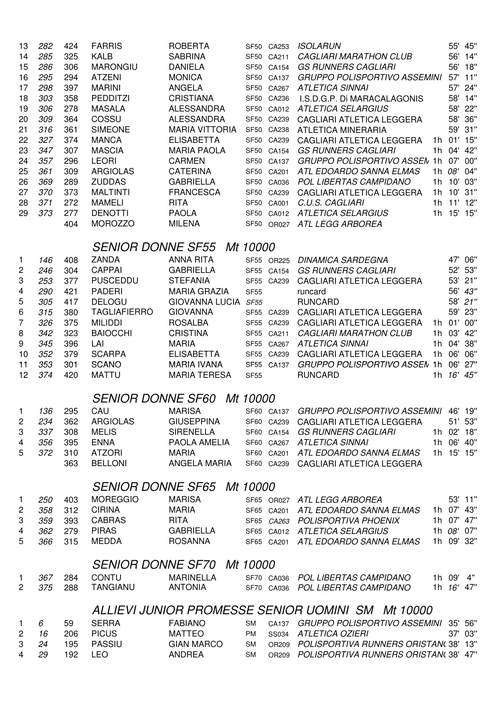| 13             | 282 | 424 | <b>FARRIS</b>            | <b>ROBERTA</b>                    |             | SF50 CA253 | <b>ISOLARUN</b>                                   |    |            | 55' 45"    |
|----------------|-----|-----|--------------------------|-----------------------------------|-------------|------------|---------------------------------------------------|----|------------|------------|
| 14             | 285 | 325 | <b>KALB</b>              | <b>SABRINA</b>                    |             | SF50 CA211 | <b>CAGLIARI MARATHON CLUB</b>                     |    |            | 56' 14"    |
| 15             | 286 | 306 | <b>MARONGIU</b>          | <b>DANIELA</b>                    |             | SF50 CA154 | <b>GS RUNNERS CAGLIARI</b>                        |    | 56'        | 18"        |
| 16             | 295 | 294 | <b>ATZENI</b>            | <b>MONICA</b>                     |             | SF50 CA137 | <b>GRUPPO POLISPORTIVO ASSEMINI</b>               |    |            | 57' 11"    |
| 17             | 298 | 397 | <b>MARINI</b>            | <b>ANGELA</b>                     | SF50        | CA267      | <b>ATLETICA SINNAI</b>                            |    |            | 57' 24"    |
| 18             | 303 | 358 | <b>PEDDITZI</b>          | <b>CRISTIANA</b>                  | SF50        | CA236      | I.S.D.G.P. Di MARACALAGONIS                       |    |            | 58' 14"    |
| 19             | 306 | 278 | <b>MASALA</b>            | <b>ALESSANDRA</b>                 | SF50        | CA012      | <b>ATLETICA SELARGIUS</b>                         |    |            | 58' 22"    |
| 20             | 309 | 364 | COSSU                    | <b>ALESSANDRA</b>                 |             | SF50 CA239 | CAGLIARI ATLETICA LEGGERA                         |    |            | 58' 36"    |
| 21             | 316 | 361 | <b>SIMEONE</b>           | <b>MARIA VITTORIA</b>             |             | SF50 CA238 | <b>ATLETICA MINERARIA</b>                         |    |            | 59' 31"    |
| 22             | 327 | 374 | <b>MANCA</b>             | <b>ELISABETTA</b>                 |             | SF50 CA239 | <b>CAGLIARI ATLETICA LEGGERA</b>                  |    |            | 1h 01' 15" |
| 23             | 347 | 307 | <b>MASCIA</b>            | <b>MARIA PAOLA</b>                |             | SF50 CA154 | <b>GS RUNNERS CAGLIARI</b>                        |    | 1h 04'     | 42"        |
| 24             | 357 | 296 | <b>LEORI</b>             | <b>CARMEN</b>                     | SF50        | CA137      | <b>GRUPPO POLISPORTIVO ASSEN 1h</b>               |    |            | 07' 00"    |
| 25             | 361 | 309 | <b>ARGIOLAS</b>          | <b>CATERINA</b>                   | SF50        | CA201      | ATL EDOARDO SANNA ELMAS                           |    | 1h 08'     | 04"        |
| 26             | 369 | 289 | <b>ZUDDAS</b>            | <b>GABRIELLA</b>                  | SF50        | CA036      | POL LIBERTAS CAMPIDANO                            |    | 1h 10'     | 03"        |
| 27             | 370 | 373 | <b>MALTINTI</b>          | <b>FRANCESCA</b>                  |             | SF50 CA239 | CAGLIARI ATLETICA LEGGERA                         |    | 1h 10'     | 31"        |
| 28             | 371 | 272 | <b>MAMELI</b>            | <b>RITA</b>                       |             | SF50 CA001 | C.U.S. CAGLIARI                                   |    | $1h$ $11'$ | 12"        |
| 29             | 373 | 277 | <b>DENOTTI</b>           | <b>PAOLA</b>                      |             | SF50 CA012 | ATLETICA SELARGIUS                                |    | 1h 15'     | 15"        |
|                |     | 404 | <b>MOROZZO</b>           | <b>MILENA</b>                     | SF50        | OR027      | ATL LEGG ARBOREA                                  |    |            |            |
|                |     |     |                          |                                   |             |            |                                                   |    |            |            |
|                |     |     | <b>SENIOR DONNE SF55</b> |                                   | Mt 10000    |            |                                                   |    |            |            |
| 1              | 146 | 408 | <b>ZANDA</b>             | <b>ANNA RITA</b>                  |             | SF55 OR225 | <b>DINAMICA SARDEGNA</b>                          |    |            | 47' 06"    |
| $\overline{c}$ | 246 | 304 | <b>CAPPAI</b>            | <b>GABRIELLA</b>                  |             | SF55 CA154 | <b>GS RUNNERS CAGLIARI</b>                        |    |            | 52' 53"    |
| 3              | 253 | 377 | <b>PUSCEDDU</b>          | <b>STEFANIA</b>                   |             | SF55 CA239 | CAGLIARI ATLETICA LEGGERA                         |    |            | 53' 21"    |
| 4              | 290 | 421 | <b>PADERI</b>            | <b>MARIA GRAZIA</b>               | <b>SF55</b> |            | runcard                                           |    |            | 56' 43"    |
| 5              | 305 | 417 | <b>DELOGU</b>            | GIOVANNA LUCIA SF55               |             |            | <b>RUNCARD</b>                                    |    |            | 58' 21"    |
| 6              | 315 | 380 | <b>TAGLIAFIERRO</b>      | <b>GIOVANNA</b>                   |             | SF55 CA239 | CAGLIARI ATLETICA LEGGERA                         |    | 59'        | 23"        |
| 7              | 326 | 375 | <b>MILIDDI</b>           | <b>ROSALBA</b>                    |             | SF55 CA239 | CAGLIARI ATLETICA LEGGERA                         |    |            | 1h 01' 00" |
| 8              | 342 | 323 | <b>BAIOCCHI</b>          | <b>CRISTINA</b>                   |             | SF55 CA211 | <b>CAGLIARI MARATHON CLUB</b>                     | 1h | 03'        | 42"        |
| 9              | 345 | 396 | LAI                      | <b>MARIA</b>                      | <b>SF55</b> | CA267      | <b>ATLETICA SINNAI</b>                            | 1h | 04'        | 38"        |
| 10             | 352 | 379 | <b>SCARPA</b>            | <b>ELISABETTA</b>                 |             | SF55 CA239 | CAGLIARI ATLETICA LEGGERA                         | 1h | 06'        | 06"        |
| 11             | 353 | 301 | <b>SCANO</b>             | <b>MARIA IVANA</b>                |             | SF55 CA137 | GRUPPO POLISPORTIVO ASSEM 1h                      |    | 06'        | 27"        |
| 12             | 374 | 420 | <b>MATTU</b>             | <b>MARIA TERESA</b>               | <b>SF55</b> |            | <b>RUNCARD</b>                                    |    | 1h 16'     | 45"        |
|                |     |     |                          | <b>SENIOR DONNE SF60 Mt 10000</b> |             |            |                                                   |    |            |            |
|                |     |     |                          |                                   |             |            |                                                   |    |            |            |
| $\mathbf{1}$   | 136 | 295 | CAU                      | <b>MARISA</b>                     |             |            | SF60 CA137 GRUPPO POLISPORTIVO ASSEMINI 46' 19"   |    |            |            |
| $\sqrt{2}$     | 234 | 362 | <b>ARGIOLAS</b>          | <b>GIUSEPPINA</b>                 |             |            | SF60 CA239 CAGLIARI ATLETICA LEGGERA              |    |            | 51' 53"    |
| 3              | 337 | 308 | <b>MELIS</b>             | <b>SIRENELLA</b>                  |             |            | SF60 CA154 GS RUNNERS CAGLIARI                    |    |            | 1h 02' 18" |
| 4              | 356 | 395 | <b>ENNA</b>              | PAOLA AMELIA                      |             |            | SF60 CA267 ATLETICA SINNAI                        |    |            | 1h 06' 40" |
| 5              | 372 | 310 | <b>ATZORI</b>            | <b>MARIA</b>                      |             |            | SF60 CA201 ATL EDOARDO SANNA ELMAS                |    |            | 1h 15' 15" |
|                |     | 363 | <b>BELLONI</b>           | ANGELA MARIA                      |             | SF60 CA239 | CAGLIARI ATLETICA LEGGERA                         |    |            |            |
|                |     |     |                          | <b>SENIOR DONNE SF65 Mt 10000</b> |             |            |                                                   |    |            |            |
| $\mathbf{1}$   | 250 | 403 | <b>MOREGGIO</b>          | <b>MARISA</b>                     |             |            | SF65 OR027 ATL LEGG ARBOREA                       |    |            | 53' 11"    |
| $\mathbf{2}$   | 358 | 312 | <b>CIRINA</b>            | <b>MARIA</b>                      |             |            | SF65 CA201 ATL EDOARDO SANNA ELMAS 1h 07' 43"     |    |            |            |
| 3              | 359 | 393 | <b>CABRAS</b>            | <b>RITA</b>                       |             |            | SF65 CA263 POLISPORTIVA PHOENIX                   |    |            | 1h 07' 47" |
| 4              | 362 | 279 | <b>PIRAS</b>             | GABRIELLA                         |             |            | SF65 CA012 ATLETICA SELARGIUS                     |    |            | 1h 08' 07" |
| 5              | 366 | 315 | <b>MEDDA</b>             | <b>ROSANNA</b>                    |             |            | SF65 CA201 ATL EDOARDO SANNA ELMAS                |    |            | 1h 09' 32" |
|                |     |     |                          |                                   |             |            |                                                   |    |            |            |
|                |     |     |                          | <b>SENIOR DONNE SF70 Mt 10000</b> |             |            |                                                   |    |            |            |
| $\mathbf{1}$   | 367 | 284 | <b>CONTU</b>             | <b>MARINELLA</b>                  |             | SF70 CA036 | POL LIBERTAS CAMPIDANO                            |    | 1h 09'     | 4"         |
| $\overline{2}$ | 375 | 288 | <b>TANGIANU</b>          | <b>ANTONIA</b>                    |             |            | SF70 CA036 POL LIBERTAS CAMPIDANO                 |    |            | 1h 16' 47" |
|                |     |     |                          |                                   |             |            | ALLIEVI JUNIOR PROMESSE SENIOR UOMINI SM Mt 10000 |    |            |            |
| $\mathbf{1}$   | 6   | 59  | <b>SERRA</b>             | <b>FABIANO</b>                    | <b>SM</b>   |            | CA137 GRUPPO POLISPORTIVO ASSEMINI                |    |            | 35' 56"    |
| $\sqrt{2}$     | 16  | 206 | <b>PICUS</b>             | <b>MATTEO</b>                     | PM          |            | SS034 ATLETICA OZIERI                             |    |            | 37' 03"    |
| 3              | 24  | 195 | <b>PASSIU</b>            | <b>GIAN MARCO</b>                 | <b>SM</b>   |            | OR209 POLISPORTIVA RUNNERS ORISTAN(38' 13"        |    |            |            |
| 4              | 29  | 192 | <b>LEO</b>               | <b>ANDREA</b>                     | <b>SM</b>   |            | OR209 POLISPORTIVA RUNNERS ORISTAN(38' 47"        |    |            |            |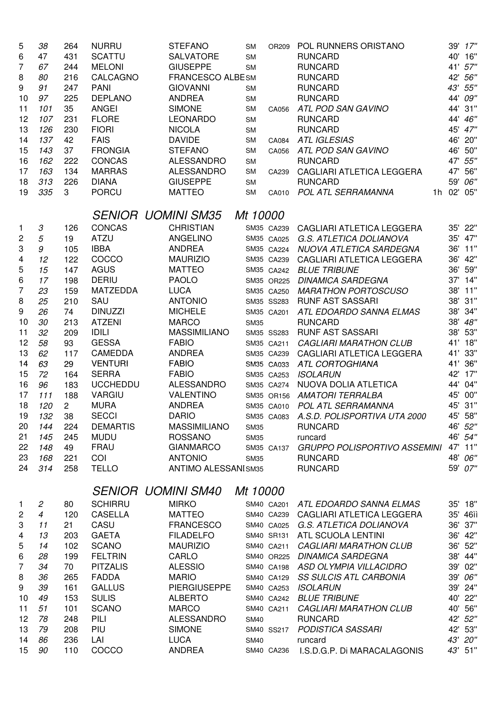| 5                         | 38                         | 264            | <b>NURRU</b>    | <b>STEFANO</b>              | <b>SM</b>   | OR209      | POL RUNNERS ORISTANO                 |     | 39' 17"    |
|---------------------------|----------------------------|----------------|-----------------|-----------------------------|-------------|------------|--------------------------------------|-----|------------|
| 6                         | 47                         | 431            | <b>SCATTU</b>   | SALVATORE                   | <b>SM</b>   |            | <b>RUNCARD</b>                       | 40' | 16"        |
| 7                         | 67                         | 244            | <b>MELONI</b>   | <b>GIUSEPPE</b>             | <b>SM</b>   |            | <b>RUNCARD</b>                       | 41' | 57"        |
| 8                         | 80                         | 216            | CALCAGNO        | FRANCESCO ALBESM            |             |            | <b>RUNCARD</b>                       | 42' | 56"        |
| 9                         | 91                         | 247            | <b>PANI</b>     | <b>GIOVANNI</b>             | <b>SM</b>   |            | <b>RUNCARD</b>                       | 43' | 55"        |
| 10                        | 97                         | 225            | <b>DEPLANO</b>  | <b>ANDREA</b>               | <b>SM</b>   |            | <b>RUNCARD</b>                       | 44' | 09"        |
| 11                        | 101                        | 35             | <b>ANGEI</b>    | <b>SIMONE</b>               | <b>SM</b>   | CA056      | ATL POD SAN GAVINO                   | 44' | 31"        |
| 12                        | 107                        | 231            | <b>FLORE</b>    | <b>LEONARDO</b>             | <b>SM</b>   |            | <b>RUNCARD</b>                       | 44' | 46"        |
| 13                        | 126                        | 230            | <b>FIORI</b>    | <b>NICOLA</b>               | <b>SM</b>   |            | <b>RUNCARD</b>                       | 45' | 47''       |
| 14                        | 137                        | 42             | <b>FAIS</b>     | <b>DAVIDE</b>               | <b>SM</b>   | CA084      | <b>ATL IGLESIAS</b>                  | 46' | 20"        |
| 15                        | 143                        | 37             | <b>FRONGIA</b>  | <b>STEFANO</b>              | <b>SM</b>   | CA056      | ATL POD SAN GAVINO                   | 46' | 50"        |
| 16                        | 162                        | 222            | <b>CONCAS</b>   | <b>ALESSANDRO</b>           | <b>SM</b>   |            | <b>RUNCARD</b>                       |     | 47' 55"    |
| 17                        | 163                        | 134            | <b>MARRAS</b>   | <b>ALESSANDRO</b>           | <b>SM</b>   | CA239      | CAGLIARI ATLETICA LEGGERA            | 47' | 56"        |
| 18                        | 313                        | 226            | <b>DIANA</b>    | <b>GIUSEPPE</b>             | <b>SM</b>   |            | <b>RUNCARD</b>                       | 59' | 06"        |
| 19                        | 335                        | 3              | <b>PORCU</b>    | <b>MATTEO</b>               | <b>SM</b>   | CA010      | POL ATL SERRAMANNA                   |     | 1h 02' 05" |
|                           |                            |                |                 | <b>SENIOR UOMINI SM35</b>   | Mt 10000    |            |                                      |     |            |
| $\mathbf{1}$              | $\ensuremath{\mathcal{S}}$ | 126            | <b>CONCAS</b>   | <b>CHRISTIAN</b>            |             | SM35 CA239 | CAGLIARI ATLETICA LEGGERA            |     | 35' 22"    |
| $\overline{c}$            | 5                          | 19             | <b>ATZU</b>     | ANGELINO                    |             | SM35 CA025 | G.S. ATLETICA DOLIANOVA              |     | 35' 47"    |
| $\ensuremath{\mathsf{3}}$ | 9                          | 105            | <b>IBBA</b>     | <b>ANDREA</b>               |             |            | SM35 CA224 NUOVA ATLETICA SARDEGNA   |     | 36' 11"    |
| $\overline{\mathbf{4}}$   | 12                         | 122            | COCCO           | <b>MAURIZIO</b>             |             | SM35 CA239 | CAGLIARI ATLETICA LEGGERA            |     | 36' 42"    |
| 5                         | 15                         | 147            | <b>AGUS</b>     | <b>MATTEO</b>               |             | SM35 CA242 | <b>BLUE TRIBUNE</b>                  | 36' | 59"        |
| 6                         | 17                         | 198            | <b>DERIU</b>    | <b>PAOLO</b>                |             | SM35 OR225 | <b>DINAMICA SARDEGNA</b>             |     | 37' 14"    |
| 7                         | 23                         | 159            | <b>MATZEDDA</b> | <b>LUCA</b>                 |             | SM35 CA250 | <b>MARATHON PORTOSCUSO</b>           |     | 38' 11"    |
| 8                         | 25                         | 210            | SAU             | <b>ANTONIO</b>              |             | SM35 SS283 | <b>RUNF AST SASSARI</b>              |     | 38' 31"    |
| 9                         | 26                         | 74             | <b>DINUZZI</b>  | <b>MICHELE</b>              |             | SM35 CA201 | ATL EDOARDO SANNA ELMAS              | 38' | 34"        |
| 10                        | 30                         | 213            | <b>ATZENI</b>   | <b>MARCO</b>                | <b>SM35</b> |            | <b>RUNCARD</b>                       |     | 38' 48"    |
| 11                        | 32                         | 209            | <b>IDILI</b>    | <b>MASSIMILIANO</b>         |             | SM35 SS283 | <b>RUNF AST SASSARI</b>              | 38' | 53"        |
| 12                        | 58                         | 93             | <b>GESSA</b>    | <b>FABIO</b>                |             | SM35 CA211 | <b>CAGLIARI MARATHON CLUB</b>        |     | 41' 18"    |
| 13                        | 62                         | 117            | CAMEDDA         | <b>ANDREA</b>               |             | SM35 CA239 | CAGLIARI ATLETICA LEGGERA            | 41' | 33"        |
| 14                        | 63                         | 29             | <b>VENTURI</b>  | <b>FABIO</b>                |             |            | SM35 CA033 ATL CORTOGHIANA           | 41' | 36"        |
| 15                        | 72                         | 164            | <b>SERRA</b>    | <b>FABIO</b>                |             | SM35 CA253 | <i><b>ISOLARUN</b></i>               | 42' | 17"        |
| 16                        | 96                         | 183            | <b>UCCHEDDU</b> | <b>ALESSANDRO</b>           |             | SM35 CA274 | NUOVA DOLIA ATLETICA                 | 44' | 04"        |
| 17                        | 111                        | 188            | VARGIU          | VALENTINO                   |             |            | SM35 OR156 AMATORI TERRALBA          |     | 45' 00"    |
| 18                        | 120                        | $\overline{c}$ | <b>MURA</b>     | <b>ANDREA</b>               |             |            | SM35 CA010 POL ATL SERRAMANNA        |     | 45' 31"    |
| 19                        | 132                        | 38             | <b>SECCI</b>    | <b>DARIO</b>                |             | SM35 CA083 | A.S.D. POLISPORTIVA UTA 2000         |     | 45' 58"    |
| 20                        | 144                        | 224            | <b>DEMARTIS</b> | <b>MASSIMILIANO</b>         | <b>SM35</b> |            | <b>RUNCARD</b>                       |     | 46' 52"    |
| 21                        | 145                        | 245            | <b>MUDU</b>     | <b>ROSSANO</b>              | <b>SM35</b> |            | runcard                              |     | 46' 54"    |
| 22                        | 148                        | 49             | <b>FRAU</b>     | <b>GIANMARCO</b>            |             | SM35 CA137 | <b>GRUPPO POLISPORTIVO ASSEMINI</b>  |     | 47' 11"    |
| 23                        | 168                        | 221            | COI             | <b>ANTONIO</b>              | <b>SM35</b> |            | <b>RUNCARD</b>                       | 48' | 06"        |
| 24                        | 314                        | 258            | <b>TELLO</b>    | <b>ANTIMO ALESSANI SM35</b> |             |            | <b>RUNCARD</b>                       |     | 59' 07"    |
|                           |                            |                |                 | <b>SENIOR UOMINI SM40</b>   | Mt 10000    |            |                                      |     |            |
| $\mathbf{1}$              | 2                          | 80             | <b>SCHIRRU</b>  | <b>MIRKO</b>                |             | SM40 CA201 | ATL EDOARDO SANNA ELMAS              |     | 35' 18"    |
| $\overline{c}$            | $\overline{4}$             | 120            | <b>CASELLA</b>  | <b>MATTEO</b>               |             |            | SM40 CA239 CAGLIARI ATLETICA LEGGERA |     | 35' 46iì   |
| 3                         | 11                         | 21             | CASU            | <b>FRANCESCO</b>            |             |            | SM40 CA025 G.S. ATLETICA DOLIANOVA   |     | 36' 37"    |
| 4                         | 13                         | 203            | <b>GAETA</b>    | <b>FILADELFO</b>            |             |            | SM40 SR131 ATL SCUOLA LENTINI        |     | 36' 42"    |
| 5                         | 14                         | 102            | <b>SCANO</b>    | <b>MAURIZIO</b>             |             | SM40 CA211 | <b>CAGLIARI MARATHON CLUB</b>        |     | 36' 52"    |
| 6                         | 28                         | 199            | <b>FELTRIN</b>  | <b>CARLO</b>                |             |            | SM40 OR225 DINAMICA SARDEGNA         |     | 38' 44"    |
| 7                         | 34                         | 70             | <b>PITZALIS</b> | <b>ALESSIO</b>              |             |            | SM40 CA198 ASD OLYMPIA VILLACIDRO    |     | 39' 02"    |
| 8                         | 36                         | 265            | <b>FADDA</b>    | <b>MARIO</b>                |             |            | SM40 CA129 SS SULCIS ATL CARBONIA    |     | 39' 06"    |
| 9                         | 39                         | 161            | <b>GALLUS</b>   | <b>PIERGIUSEPPE</b>         |             | SM40 CA253 | <b>ISOLARUN</b>                      |     | 39' 24"    |
| 10                        | 49                         | 153            | <b>SULIS</b>    | <b>ALBERTO</b>              |             |            | SM40 CA242 BLUE TRIBUNE              |     | 40' 22"    |
| 11                        | 51                         | 101            | <b>SCANO</b>    | <b>MARCO</b>                |             | SM40 CA211 | <b>CAGLIARI MARATHON CLUB</b>        | 40' | 56"        |
| 12                        | 78                         | 248            | PILI            | <b>ALESSANDRO</b>           | <b>SM40</b> |            | <b>RUNCARD</b>                       |     | 42' 52"    |
| 13                        | 79                         | 208            | PIU             | <b>SIMONE</b>               |             | SM40 SS217 | PODISTICA SASSARI                    |     | 42' 53"    |
| 14                        | 86                         | 236            | LAI             | <b>LUCA</b>                 | <b>SM40</b> |            | runcard                              |     | 43' 20"    |
| 15                        | 90                         | 110            | COCCO           | <b>ANDREA</b>               |             | SM40 CA236 | I.S.D.G.P. Di MARACALAGONIS          |     | 43' 51"    |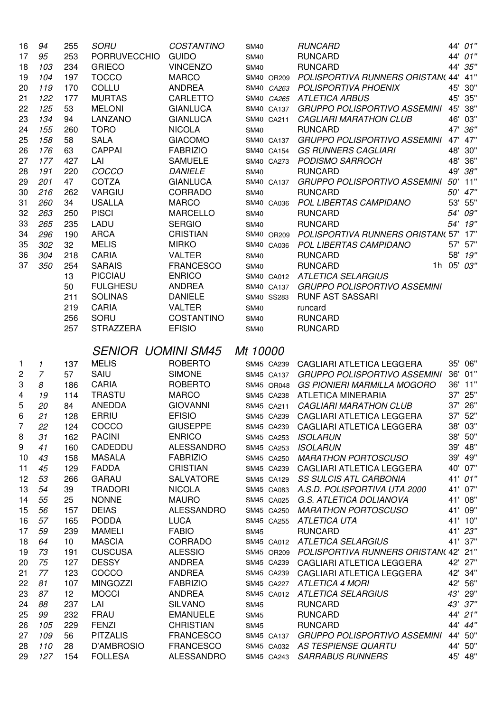| 16     | 94             | 255        | SORU                         | <b>COSTANTINO</b>              | <b>SM40</b>              | <b>RUNCARD</b>                                            |     | 44' 01"            |
|--------|----------------|------------|------------------------------|--------------------------------|--------------------------|-----------------------------------------------------------|-----|--------------------|
| 17     | 95             | 253        | <b>PORRUVECCHIO</b>          | <b>GUIDO</b>                   | <b>SM40</b>              | <b>RUNCARD</b>                                            |     | 44' 01"            |
| 18     | 103            | 234        | <b>GRIECO</b>                | <b>VINCENZO</b>                | <b>SM40</b>              | <b>RUNCARD</b>                                            |     | 44' 35"            |
| 19     | 104            | 197        | <b>TOCCO</b>                 | <b>MARCO</b>                   | SM40 OR209               | POLISPORTIVA RUNNERS ORISTAN(44' 41"                      |     |                    |
| 20     | 119            | 170        | COLLU                        | <b>ANDREA</b>                  | SM40 CA263               | <b>POLISPORTIVA PHOENIX</b>                               |     | 45' 30"            |
| 21     | 122            | 177        | <b>MURTAS</b>                | CARLETTO                       | SM40 CA265               | <b>ATLETICA ARBUS</b>                                     |     | 45' 35"            |
| 22     | 125            | 53         | <b>MELONI</b>                | <b>GIANLUCA</b>                | SM40 CA137               | <b>GRUPPO POLISPORTIVO ASSEMINI</b>                       |     | 45' 38"            |
| 23     | 134            | 94         | LANZANO                      | <b>GIANLUCA</b>                | SM40 CA211               | <b>CAGLIARI MARATHON CLUB</b>                             |     | 46' 03"            |
| 24     | 155            | 260        | <b>TORO</b>                  | <b>NICOLA</b>                  | <b>SM40</b>              | <b>RUNCARD</b>                                            |     | 47' 36"            |
| 25     | 158            | 58         | <b>SALA</b>                  | <b>GIACOMO</b>                 | SM40 CA137               | <b>GRUPPO POLISPORTIVO ASSEMINI</b>                       |     | 47' 47"            |
| 26     | 176            | 63         | <b>CAPPAI</b>                | <b>FABRIZIO</b>                | SM40 CA154               | <b>GS RUNNERS CAGLIARI</b>                                |     | 48' 30"            |
| 27     | 177            | 427        | LAI                          | <b>SAMUELE</b>                 | SM40 CA273               | PODISMO SARROCH                                           |     | 48' 36"            |
| 28     | 191            | 220        | COCCO                        | <b>DANIELE</b>                 | <b>SM40</b>              | <b>RUNCARD</b>                                            |     | 49' 38"            |
| 29     | 201            | 47         | COTZA                        | <b>GIANLUCA</b>                | SM40 CA137               | <b>GRUPPO POLISPORTIVO ASSEMINI</b>                       |     | 50' 11"            |
| 30     | 216            | 262        | <b>VARGIU</b>                | CORRADO                        | <b>SM40</b>              | <b>RUNCARD</b>                                            |     | 50' 47"            |
| 31     | 260            | 34         | <b>USALLA</b>                | <b>MARCO</b>                   | SM40 CA036               | POL LIBERTAS CAMPIDANO                                    | 53' | 55"                |
| 32     | 263            | 250        | <b>PISCI</b>                 | <b>MARCELLO</b>                | <b>SM40</b>              | <b>RUNCARD</b>                                            |     | 54' 09"            |
| 33     | 265            | 235        | LADU                         | <b>SERGIO</b>                  | <b>SM40</b>              | <b>RUNCARD</b>                                            |     | 54' 19"            |
| 34     | 296            | 190        | <b>ARCA</b>                  | <b>CRISTIAN</b>                | SM40 OR209               | POLISPORTIVA RUNNERS ORISTAN( 57' 17"                     |     |                    |
| 35     | 302            | 32         | <b>MELIS</b>                 | <b>MIRKO</b>                   | SM40 CA036               | POL LIBERTAS CAMPIDANO                                    |     | 57' 57"            |
| 36     | 304            | 218        | <b>CARIA</b>                 | <b>VALTER</b>                  | <b>SM40</b>              | <b>RUNCARD</b>                                            | 58' | 19"                |
| 37     | 350            | 254        | <b>SARAIS</b>                | <b>FRANCESCO</b>               | <b>SM40</b>              | <b>RUNCARD</b><br>1h                                      | 05' | 03"                |
|        |                | 13         | <b>PICCIAU</b>               | <b>ENRICO</b>                  |                          | SM40 CA012 ATLETICA SELARGIUS                             |     |                    |
|        |                | 50         | <b>FULGHESU</b>              | <b>ANDREA</b>                  | SM40 CA137               | <b>GRUPPO POLISPORTIVO ASSEMINI</b>                       |     |                    |
|        |                | 211        | <b>SOLINAS</b>               | <b>DANIELE</b>                 | SM40 SS283               | <b>RUNF AST SASSARI</b>                                   |     |                    |
|        |                | 219        | <b>CARIA</b>                 | <b>VALTER</b>                  | <b>SM40</b>              | runcard                                                   |     |                    |
|        |                | 256        | SORU                         | COSTANTINO                     | <b>SM40</b>              | <b>RUNCARD</b>                                            |     |                    |
|        |                | 257        | <b>STRAZZERA</b>             | <b>EFISIO</b>                  | <b>SM40</b>              | <b>RUNCARD</b>                                            |     |                    |
|        |                |            |                              |                                |                          |                                                           |     |                    |
|        |                |            |                              |                                |                          |                                                           |     |                    |
|        |                |            | <b>SENIOR UOMINI SM45</b>    |                                | Mt 10000                 |                                                           |     |                    |
| 1      | 1              |            | <b>MELIS</b>                 | <b>ROBERTO</b>                 | SM45 CA239               | CAGLIARI ATLETICA LEGGERA                                 |     | 35' 06"            |
| 2      | $\overline{7}$ | 137<br>57  | SAIU                         | <b>SIMONE</b>                  |                          | <b>GRUPPO POLISPORTIVO ASSEMINI</b>                       | 36' | 01"                |
| 3      | 8              | 186        | <b>CARIA</b>                 | <b>ROBERTO</b>                 | SM45 CA137<br>SM45 OR048 | <b>GS PIONIERI MARMILLA MOGORO</b>                        |     | 36' 11"            |
| 4      | 19             | 114        | <b>TRASTU</b>                | <b>MARCO</b>                   | SM45 CA238               | ATLETICA MINERARIA                                        | 37' | 25"                |
| 5      | 20             | 84         | <b>ANEDDA</b>                | <b>GIOVANNI</b>                | SM45 CA211               | <b>CAGLIARI MARATHON CLUB</b>                             |     | 37' 26"            |
| 6      | 21             | 128        | ERRIU                        | <b>EFISIO</b>                  | SM45 CA239               | CAGLIARI ATLETICA LEGGERA                                 |     | 37' 52"            |
| 7      | 22             | 124        | COCCO                        | <b>GIUSEPPE</b>                | SM45 CA239               | CAGLIARI ATLETICA LEGGERA                                 |     | 38' 03"            |
|        |                |            | <b>PACINI</b>                | <b>ENRICO</b>                  | SM45 CA253               |                                                           |     | 38' 50"            |
| 8<br>9 | 31<br>41       | 162        | CADEDDU                      | <b>ALESSANDRO</b>              |                          | <b>ISOLARUN</b>                                           |     | 39' 48"            |
| 10     |                | 160        | <b>MASALA</b>                | <b>FABRIZIO</b>                | SM45 CA253<br>SM45 CA250 | <b>ISOLARUN</b>                                           |     |                    |
| 11     | 43<br>45       | 158<br>129 | <b>FADDA</b>                 | <b>CRISTIAN</b>                | SM45 CA239               | <b>MARATHON PORTOSCUSO</b><br>CAGLIARI ATLETICA LEGGERA   |     | 39' 49"<br>40' 07" |
| 12     | 53             | 266        | <b>GARAU</b>                 | <b>SALVATORE</b>               | SM45 CA129               | <b>SS SULCIS ATL CARBONIA</b>                             |     | 41' 01"            |
| 13     | 54             | 39         | <b>TRADORI</b>               | <b>NICOLA</b>                  | SM45 CA083               | A.S.D. POLISPORTIVA UTA 2000                              |     | 41' 07"            |
| 14     | 55             | 25         | <b>NONNE</b>                 | <b>MAURO</b>                   | SM45 CA025               | G.S. ATLETICA DOLIANOVA                                   | 41' | 08"                |
| 15     | 56             | 157        | <b>DEIAS</b>                 | <b>ALESSANDRO</b>              | SM45 CA250               | <b>MARATHON PORTOSCUSO</b>                                | 41' | 09"                |
| 16     | 57             | 165        | <b>PODDA</b>                 | <b>LUCA</b>                    |                          | SM45 CA255 ATLETICA UTA                                   |     | 41' 10"            |
| 17     | 59             | 239        | <b>MAMELI</b>                | <b>FABIO</b>                   | <b>SM45</b>              | <b>RUNCARD</b>                                            |     | 41' 23"            |
| 18     | 64             | 10         | <b>MASCIA</b>                | <b>CORRADO</b>                 |                          | SM45 CA012 ATLETICA SELARGIUS                             |     | 41' 37"            |
| 19     | 73             | 191        | <b>CUSCUSA</b>               | <b>ALESSIO</b>                 |                          | SM45 OR209 POLISPORTIVA RUNNERS ORISTAN( 42' 21"          |     |                    |
| 20     | 75             | 127        | <b>DESSY</b>                 | ANDREA                         |                          | SM45 CA239 CAGLIARI ATLETICA LEGGERA                      |     | 42' 27"            |
| 21     | 77             | 123        | COCCO                        | <b>ANDREA</b>                  |                          | SM45 CA239 CAGLIARI ATLETICA LEGGERA                      |     | 42' 34"            |
| 22     | 81             | 107        | <b>MINGOZZI</b>              | <b>FABRIZIO</b>                |                          | SM45 CA227 ATLETICA 4 MORI                                |     | 42' 56"            |
| 23     | 87             | 12         | <b>MOCCI</b>                 | <b>ANDREA</b>                  |                          | SM45 CA012 ATLETICA SELARGIUS                             |     | 43' 29"            |
| 24     | 88             | 237        | LAI                          | <b>SILVANO</b>                 | <b>SM45</b>              | <b>RUNCARD</b>                                            |     | 43' 37"            |
| 25     | 99             | 232        | <b>FRAU</b>                  | <b>EMANUELE</b>                | <b>SM45</b>              | <b>RUNCARD</b>                                            |     | 44' 21"            |
| 26     | 105            | 229        | <b>FENZI</b>                 | <b>CHRISTIAN</b>               | <b>SM45</b>              | <b>RUNCARD</b>                                            |     | 44' 44"            |
| 27     | 109            | 56         | <b>PITZALIS</b>              | <b>FRANCESCO</b>               | SM45 CA137               | <b>GRUPPO POLISPORTIVO ASSEMINI</b>                       |     | 44' 50"            |
| 28     | 110            | 28         | D'AMBROSIO<br><b>FOLLESA</b> | <b>FRANCESCO</b><br>ALESSANDRO | SM45 CA243               | SM45 CA032 AS TESPIENSE QUARTU<br><b>SARRABUS RUNNERS</b> |     | 44' 50"<br>45' 48" |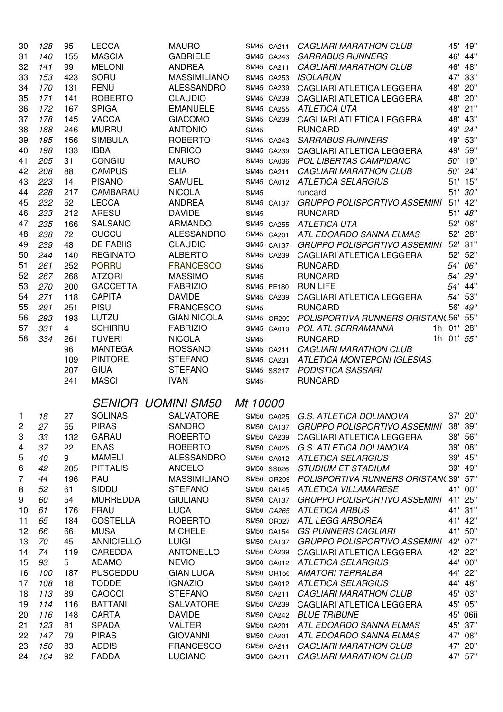| 30 | 128 | 95             | <b>LECCA</b>      | <b>MAURO</b>                       |             | SM45 CA211 | <b>CAGLIARI MARATHON CLUB</b>                   |            | 45' 49"  |
|----|-----|----------------|-------------------|------------------------------------|-------------|------------|-------------------------------------------------|------------|----------|
| 31 | 140 | 155            | <b>MASCIA</b>     | <b>GABRIELE</b>                    |             | SM45 CA243 | <b>SARRABUS RUNNERS</b>                         | 46'        | 44"      |
| 32 | 141 | 99             | <b>MELONI</b>     | <b>ANDREA</b>                      |             | SM45 CA211 | <b>CAGLIARI MARATHON CLUB</b>                   | 46'        | 48"      |
| 33 | 153 | 423            | SORU              | <b>MASSIMILIANO</b>                |             | SM45 CA253 | <b>ISOLARUN</b>                                 |            | 47' 33"  |
| 34 | 170 | 131            | <b>FENU</b>       | <b>ALESSANDRO</b>                  |             | SM45 CA239 | CAGLIARI ATLETICA LEGGERA                       |            | 48' 20"  |
| 35 | 171 | 141            | <b>ROBERTO</b>    | <b>CLAUDIO</b>                     |             | SM45 CA239 | CAGLIARI ATLETICA LEGGERA                       |            | 48' 20"  |
| 36 | 172 | 167            | <b>SPIGA</b>      | <b>EMANUELE</b>                    |             | SM45 CA255 | <b>ATLETICA UTA</b>                             |            | 48' 21"  |
| 37 | 178 | 145            | <b>VACCA</b>      | <b>GIACOMO</b>                     |             | SM45 CA239 | CAGLIARI ATLETICA LEGGERA                       |            | 48' 43"  |
| 38 | 188 | 246            | <b>MURRU</b>      | <b>ANTONIO</b>                     | <b>SM45</b> |            | <b>RUNCARD</b>                                  |            | 49' 24"  |
| 39 | 195 | 156            | <b>SIMBULA</b>    | <b>ROBERTO</b>                     |             | SM45 CA243 | <b>SARRABUS RUNNERS</b>                         |            | 49' 53"  |
| 40 | 198 | 133            | <b>IBBA</b>       | <b>ENRICO</b>                      |             | SM45 CA239 | CAGLIARI ATLETICA LEGGERA                       |            | 49' 59"  |
| 41 | 205 | 31             | CONGIU            | <b>MAURO</b>                       |             |            | SM45 CA036 POL LIBERTAS CAMPIDANO               |            | 50' 19"  |
| 42 | 208 | 88             | <b>CAMPUS</b>     | <b>ELIA</b>                        |             | SM45 CA211 | <b>CAGLIARI MARATHON CLUB</b>                   |            | 50' 24"  |
| 43 | 223 | 14             | <b>PISANO</b>     | <b>SAMUEL</b>                      |             |            | SM45 CA012 ATLETICA SELARGIUS                   |            | 51' 15"  |
| 44 | 228 | 217            | CAMBARAU          | <b>NICOLA</b>                      | <b>SM45</b> |            | runcard                                         |            | 51' 30"  |
| 45 | 232 | 52             | <b>LECCA</b>      | <b>ANDREA</b>                      |             | SM45 CA137 | <b>GRUPPO POLISPORTIVO ASSEMINI</b>             |            | 51' 42"  |
| 46 | 233 | 212            | <b>ARESU</b>      | <b>DAVIDE</b>                      | <b>SM45</b> |            | <b>RUNCARD</b>                                  |            | 51' 48"  |
| 47 | 235 | 166            | SALSANO           | <b>ARMANDO</b>                     |             | SM45 CA255 | <b>ATLETICA UTA</b>                             |            | 52' 08"  |
| 48 | 238 | 72             | <b>CUCCU</b>      | <b>ALESSANDRO</b>                  |             | SM45 CA201 | ATL EDOARDO SANNA ELMAS                         |            | 52' 28"  |
| 49 | 239 | 48             | <b>DE FABIIS</b>  | <b>CLAUDIO</b>                     |             | SM45 CA137 | <b>GRUPPO POLISPORTIVO ASSEMINI</b>             |            | 52' 31"  |
| 50 | 244 | 140            | <b>REGINATO</b>   | <b>ALBERTO</b>                     |             | SM45 CA239 | CAGLIARI ATLETICA LEGGERA                       |            | 52' 52"  |
| 51 | 261 | 252            | <b>PORRU</b>      | <b>FRANCESCO</b>                   | <b>SM45</b> |            | <b>RUNCARD</b>                                  | 54'        | 06"      |
| 52 | 267 | 268            | <b>ATZORI</b>     | <b>MASSIMO</b>                     | <b>SM45</b> |            | <b>RUNCARD</b>                                  | 54'        | 29"      |
| 53 | 270 | 200            | <b>GACCETTA</b>   | <b>FABRIZIO</b>                    |             | SM45 PE180 | <b>RUN LIFE</b>                                 | 54'        | 44"      |
| 54 | 271 | 118            | <b>CAPITA</b>     | <b>DAVIDE</b>                      |             | SM45 CA239 | CAGLIARI ATLETICA LEGGERA                       | 54'        | 53"      |
| 55 | 291 | 251            | <b>PISU</b>       | <b>FRANCESCO</b>                   | <b>SM45</b> |            | <b>RUNCARD</b>                                  | 56'        | 49"      |
| 56 | 293 | 193            | LUTZU             | <b>GIAN NICOLA</b>                 |             | SM45 OR209 | POLISPORTIVA RUNNERS ORISTAN(56'                |            | 55"      |
| 57 | 331 | $\overline{4}$ | <b>SCHIRRU</b>    | <b>FABRIZIO</b>                    |             | SM45 CA010 | POL ATL SERRAMANNA                              | 1h 01'     | 28"      |
| 58 | 334 | 261            | <b>TUVERI</b>     | <b>NICOLA</b>                      | <b>SM45</b> |            | <b>RUNCARD</b>                                  | 1h 01' 55" |          |
|    |     | 96             | <b>MANTEGA</b>    | <b>ROSSANO</b>                     |             | SM45 CA211 | <b>CAGLIARI MARATHON CLUB</b>                   |            |          |
|    |     | 109            | <b>PINTORE</b>    | <b>STEFANO</b>                     |             | SM45 CA231 | <b>ATLETICA MONTEPONI IGLESIAS</b>              |            |          |
|    |     | 207            | <b>GIUA</b>       | <b>STEFANO</b>                     |             | SM45 SS217 | PODISTICA SASSARI                               |            |          |
|    |     | 241            | <b>MASCI</b>      | <b>IVAN</b>                        | <b>SM45</b> |            | <b>RUNCARD</b>                                  |            |          |
|    |     |                |                   |                                    |             |            |                                                 |            |          |
|    |     |                |                   | <b>SENIOR UOMINI SM50 Mt 10000</b> |             |            |                                                 |            |          |
| 1  | 18  | 27             | <b>SOLINAS</b>    | SALVATORE                          |             |            | SM50 CA025 G.S. ATLETICA DOLIANOVA              |            | 37' 20"  |
| 2  | 27  | 55             | <b>PIRAS</b>      | <b>SANDRO</b>                      |             | SM50 CA137 | GRUPPO POLISPORTIVO ASSEMINI                    |            | 38' 39"  |
| 3  | 33  | 132            | <b>GARAU</b>      | <b>ROBERTO</b>                     |             | SM50 CA239 | CAGLIARI ATLETICA LEGGERA                       |            | 38' 56"  |
| 4  | 37  | 22             | <b>ENAS</b>       | <b>ROBERTO</b>                     |             | SM50 CA025 | G.S. ATLETICA DOLIANOVA                         |            | 39' 08"  |
| 5  | 40  | 9              | <b>MAMELI</b>     | <b>ALESSANDRO</b>                  |             |            | SM50 CA012 ATLETICA SELARGIUS                   |            | 39' 45"  |
| 6  | 42  | 205            | <b>PITTALIS</b>   | <b>ANGELO</b>                      |             |            | SM50 SS026 STUDIUM ET STADIUM                   |            | 39' 49"  |
| 7  | 44  | 196            | PAU               | <b>MASSIMILIANO</b>                |             |            | SM50 OR209 POLISPORTIVA RUNNERS ORISTAN(39' 57" |            |          |
| 8  | 52  | 61             | SIDDU             | <b>STEFANO</b>                     |             |            | SM50 CA145 ATLETICA VILLAMARESE                 |            | 41' 00"  |
| 9  | 60  | 54             | <b>MURREDDA</b>   | <b>GIULIANO</b>                    |             |            | SM50 CA137 GRUPPO POLISPORTIVO ASSEMINI         |            | 41' 25"  |
| 10 | 61  | 176            | <b>FRAU</b>       | <b>LUCA</b>                        |             |            | SM50 CA265 ATLETICA ARBUS                       |            | 41' 31"  |
| 11 | 65  | 184            | <b>COSTELLA</b>   | <b>ROBERTO</b>                     |             |            | SM50 OR027 ATL LEGG ARBOREA                     |            | 41' 42"  |
| 12 | 66  | 66             | <b>MUSA</b>       | <b>MICHELE</b>                     |             |            | SM50 CA154 GS RUNNERS CAGLIARI                  |            | 41' 50"  |
| 13 | 70  | 45             | <b>ANNICIELLO</b> | <b>LUIGI</b>                       |             |            | SM50 CA137 GRUPPO POLISPORTIVO ASSEMINI         |            | 42' 07"  |
| 14 | 74  | 119            | CAREDDA           | <b>ANTONELLO</b>                   |             |            | SM50 CA239 CAGLIARI ATLETICA LEGGERA            |            | 42' 22"  |
| 15 | 93  | 5              | <b>ADAMO</b>      | <b>NEVIO</b>                       |             |            | SM50 CA012 ATLETICA SELARGIUS                   |            | 44' 00"  |
| 16 | 100 | 187            | <b>PUSCEDDU</b>   | <b>GIAN LUCA</b>                   |             |            | SM50 OR156 AMATORI TERRALBA                     |            | 44' 22"  |
| 17 | 108 | 18             | <b>TODDE</b>      | <b>IGNAZIO</b>                     |             |            | SM50 CA012 ATLETICA SELARGIUS                   |            | 44' 48"  |
| 18 | 113 | 89             | <b>CAOCCI</b>     | <b>STEFANO</b>                     |             | SM50 CA211 | <b>CAGLIARI MARATHON CLUB</b>                   |            | 45' 03"  |
| 19 | 114 | 116            | <b>BATTANI</b>    | <b>SALVATORE</b>                   |             | SM50 CA239 | CAGLIARI ATLETICA LEGGERA                       |            | 45' 05"  |
| 20 | 116 | 148            | CARTA             | <b>DAVIDE</b>                      |             | SM50 CA242 | <b>BLUE TRIBUNE</b>                             |            | 45' 06iì |
| 21 | 123 | 81             | <b>SPADA</b>      | <b>VALTER</b>                      |             | SM50 CA201 | ATL EDOARDO SANNA ELMAS                         |            | 45' 37"  |
| 22 | 147 | 79             | <b>PIRAS</b>      | <b>GIOVANNI</b>                    |             | SM50 CA201 | ATL EDOARDO SANNA ELMAS                         |            | 47' 08"  |
| 23 | 150 | 83             | <b>ADDIS</b>      | <b>FRANCESCO</b>                   |             | SM50 CA211 | <b>CAGLIARI MARATHON CLUB</b>                   |            | 47' 20"  |
| 24 | 164 | 92             | <b>FADDA</b>      | <b>LUCIANO</b>                     |             | SM50 CA211 | <b>CAGLIARI MARATHON CLUB</b>                   |            | 47' 57"  |
|    |     |                |                   |                                    |             |            |                                                 |            |          |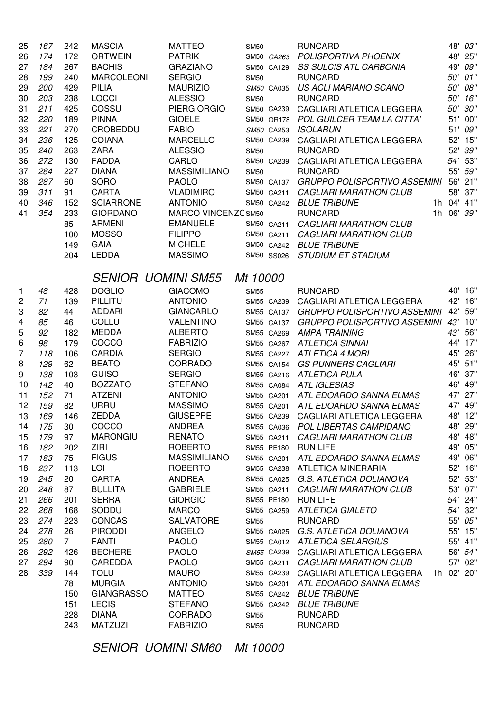| 25                             | 167 | 242            | <b>MASCIA</b>             | <b>MATTEO</b>                      | <b>SM50</b>               | <b>RUNCARD</b>                          |     | 48' 03"    |
|--------------------------------|-----|----------------|---------------------------|------------------------------------|---------------------------|-----------------------------------------|-----|------------|
| 26                             | 174 | 172            | <b>ORTWEIN</b>            | <b>PATRIK</b>                      |                           | SM50 CA263 POLISPORTIVA PHOENIX         |     | 48' 25"    |
| 27                             | 184 | 267            | <b>BACHIS</b>             | <b>GRAZIANO</b>                    | SM50 CA129                | <b>SS SULCIS ATL CARBONIA</b>           |     | 49' 09"    |
| 28                             | 199 | 240            | <b>MARCOLEONI</b>         | <b>SERGIO</b>                      | <b>SM50</b>               | <b>RUNCARD</b>                          | 50' | 01"        |
| 29                             | 200 | 429            | <b>PILIA</b>              | <b>MAURIZIO</b>                    | SM50 CA035                | US ACLI MARIANO SCANO                   | 50' | 08"        |
| 30                             | 203 | 238            | <b>LOCCI</b>              | <b>ALESSIO</b>                     | <b>SM50</b>               | <b>RUNCARD</b>                          |     | 50' 16"    |
| 31                             | 211 | 425            | COSSU                     | <b>PIERGIORGIO</b>                 | SM50 CA239                | CAGLIARI ATLETICA LEGGERA               |     | 50' 30"    |
| 32                             | 220 | 189            | <b>PINNA</b>              | <b>GIOELE</b>                      |                           | SM50 OR178 POL GUILCER TEAM LA CITTA'   |     | 51' 00"    |
| 33                             | 221 | 270            | <b>CROBEDDU</b>           | <b>FABIO</b>                       | SM50 CA253                | <b>ISOLARUN</b>                         |     | 51' 09"    |
| 34                             | 236 | 125            | <b>COIANA</b>             | <b>MARCELLO</b>                    | SM50 CA239                | CAGLIARI ATLETICA LEGGERA               |     | 52' 15"    |
| 35                             | 240 | 263            | <b>ZARA</b>               | <b>ALESSIO</b>                     | <b>SM50</b>               | <b>RUNCARD</b>                          |     | 52' 39"    |
| 36                             | 272 | 130            | <b>FADDA</b>              | CARLO                              | SM50 CA239                | CAGLIARI ATLETICA LEGGERA               |     | 54' 53"    |
| 37                             | 284 | 227            | <b>DIANA</b>              | <b>MASSIMILIANO</b>                | <b>SM50</b>               | <b>RUNCARD</b>                          |     | 55' 59"    |
| 38                             | 287 | 60             | <b>SORO</b>               | <b>PAOLO</b>                       |                           | SM50 CA137 GRUPPO POLISPORTIVO ASSEMINI |     | 56' 21"    |
| 39                             | 311 | 91             | <b>CARTA</b>              | <b>VLADIMIRO</b>                   | SM50 CA211                | <b>CAGLIARI MARATHON CLUB</b>           |     | 58' 37"    |
| 40                             | 346 | 152            | <b>SCIARRONE</b>          | <b>ANTONIO</b>                     |                           | SM50 CA242 BLUE TRIBUNE                 |     | 1h 04' 41" |
| 41                             | 354 | 233            | <b>GIORDANO</b>           | MARCO VINCENZC SM50                |                           | <b>RUNCARD</b>                          |     | 1h 06' 39" |
|                                |     | 85             | <b>ARMENI</b>             | <b>EMANUELE</b>                    | SM50 CA211                | <b>CAGLIARI MARATHON CLUB</b>           |     |            |
|                                |     | 100            | <b>MOSSO</b>              | <b>FILIPPO</b>                     | SM50 CA211                | <b>CAGLIARI MARATHON CLUB</b>           |     |            |
|                                |     | 149            | <b>GAIA</b>               | <b>MICHELE</b>                     |                           | SM50 CA242 BLUE TRIBUNE                 |     |            |
|                                |     | 204            | <b>LEDDA</b>              | <b>MASSIMO</b>                     | SM50 SS026                | <b>STUDIUM ET STADIUM</b>               |     |            |
|                                |     |                |                           |                                    |                           |                                         |     |            |
|                                |     |                | <b>SENIOR UOMINI SM55</b> |                                    | Mt 10000                  |                                         |     |            |
|                                | 48  | 428            | <b>DOGLIO</b>             | <b>GIACOMO</b>                     |                           | <b>RUNCARD</b>                          | 40' | 16"        |
| $\mathbf{1}$<br>$\overline{c}$ | 71  | 139            | PILLITU                   | <b>ANTONIO</b>                     | <b>SM55</b><br>SM55 CA239 | CAGLIARI ATLETICA LEGGERA               |     | 42' 16"    |
|                                |     |                | ADDARI                    | <b>GIANCARLO</b>                   |                           | <b>GRUPPO POLISPORTIVO ASSEMINI</b>     |     | 42' 59"    |
| 3                              | 82  | 44             | COLLU                     |                                    | SM55 CA137                | GRUPPO POLISPORTIVO ASSEMINI 43' 10"    |     |            |
| 4                              | 85  | 46             | <b>MEDDA</b>              | <b>VALENTINO</b><br><b>ALBERTO</b> | SM55 CA137                |                                         |     | 43' 56"    |
| 5                              | 92  | 182            | COCCO                     | <b>FABRIZIO</b>                    |                           | SM55 CA269 AMPA TRAINING                |     | 44' 17"    |
| 6                              | 98  | 179            |                           |                                    |                           | SM55 CA267 ATLETICA SINNAI              |     |            |
| 7                              | 118 | 106            | <b>CARDIA</b>             | <b>SERGIO</b>                      |                           | SM55 CA227 ATLETICA 4 MORI              |     | 45' 26"    |
| 8                              | 129 | 62             | <b>BEATO</b>              | CORRADO                            |                           | SM55 CA154 GS RUNNERS CAGLIARI          |     | 45' 51"    |
| 9                              | 138 | 103            | <b>GUISO</b>              | <b>SERGIO</b>                      |                           | SM55 CA216 ATLETICA PULA                |     | 46' 37"    |
| 10                             | 142 | 40             | <b>BOZZATO</b>            | <b>STEFANO</b>                     |                           | SM55 CA084 ATL IGLESIAS                 |     | 46' 49"    |
| 11                             | 152 | 71             | <b>ATZENI</b>             | <b>ANTONIO</b>                     |                           | SM55 CA201 ATL EDOARDO SANNA ELMAS      |     | 47' 27"    |
| 12                             | 159 | 82             | <b>URRU</b>               | <b>MASSIMO</b>                     |                           | SM55 CA201 ATL EDOARDO SANNA ELMAS      |     | 47' 49"    |
| 13                             | 169 | 146            | <b>ZEDDA</b>              | <b>GIUSEPPE</b>                    | SM55 CA239                | CAGLIARI ATLETICA LEGGERA               |     | 48' 12"    |
| 14                             | 175 | 30             | COCCO                     | <b>ANDREA</b>                      | SM55 CA036                | POL LIBERTAS CAMPIDANO                  |     | 48' 29"    |
| 15                             | 179 | 97             | <b>MARONGIU</b>           | <b>RENATO</b>                      | SM55 CA211                | <b>CAGLIARI MARATHON CLUB</b>           |     | 48' 48"    |
| 16                             | 182 | 202            | <b>ZIRI</b>               | <b>ROBERTO</b>                     | SM55 PE180                | <b>RUN LIFE</b>                         |     | 49' 05"    |
| 17                             | 183 | 75             | <b>FIGUS</b>              | <b>MASSIMILIANO</b>                | SM55 CA201                | ATL EDOARDO SANNA ELMAS                 | 49' | 06"        |
| 18                             | 237 | 113            | LOI                       | <b>ROBERTO</b>                     | SM55 CA238                | <b>ATLETICA MINERARIA</b>               |     | 52' 16"    |
| 19                             | 245 | 20             | <b>CARTA</b>              | <b>ANDREA</b>                      | SM55 CA025                | G.S. ATLETICA DOLIANOVA                 |     | 52' 53"    |
| 20                             | 248 | 87             | <b>BULLITA</b>            | <b>GABRIELE</b>                    | SM55 CA211                | <b>CAGLIARI MARATHON CLUB</b>           |     | 53' 07"    |
| 21                             | 266 | 201            | <b>SERRA</b>              | <b>GIORGIO</b>                     | SM55 PE180                | <b>RUN LIFE</b>                         |     | 54' 24"    |
| 22                             | 268 | 168            | SODDU                     | <b>MARCO</b>                       | SM55 CA259                | <b>ATLETICA GIALETO</b>                 |     | 54' 32"    |
| 23                             | 274 | 223            | <b>CONCAS</b>             | <b>SALVATORE</b>                   | <b>SM55</b>               | <b>RUNCARD</b>                          |     | 55' 05"    |
| 24                             | 278 | 26             | <b>PIRODDI</b>            | ANGELO                             | SM55 CA025                | G.S. ATLETICA DOLIANOVA                 |     | 55' 15"    |
| 25                             | 280 | $\overline{7}$ | <b>FANTI</b>              | <b>PAOLO</b>                       |                           | SM55 CA012 ATLETICA SELARGIUS           |     | 55' 41"    |
| 26                             | 292 | 426            | <b>BECHERE</b>            | <b>PAOLO</b>                       |                           | SM55 CA239 CAGLIARI ATLETICA LEGGERA    |     | 56' 54"    |
| 27                             | 294 | 90             | CAREDDA                   | <b>PAOLO</b>                       |                           | SM55 CA211 CAGLIARI MARATHON CLUB       |     | 57' 02"    |
| 28                             | 339 | 144            | <b>TOLU</b>               | <b>MAURO</b>                       | SM55 CA239                | CAGLIARI ATLETICA LEGGERA               |     | 1h 02' 20" |
|                                |     | 78             | <b>MURGIA</b>             | <b>ANTONIO</b>                     |                           | SM55 CA201 ATL EDOARDO SANNA ELMAS      |     |            |
|                                |     | 150            | <b>GIANGRASSO</b>         | <b>MATTEO</b>                      |                           | SM55 CA242 BLUE TRIBUNE                 |     |            |
|                                |     | 151            | <b>LECIS</b>              | <b>STEFANO</b>                     |                           | SM55 CA242 BLUE TRIBUNE                 |     |            |
|                                |     | 228            | <b>DIANA</b>              | CORRADO                            | <b>SM55</b>               | <b>RUNCARD</b>                          |     |            |
|                                |     | 243            | <b>MATZUZI</b>            | <b>FABRIZIO</b>                    | <b>SM55</b>               | <b>RUNCARD</b>                          |     |            |

SENIOR UOMINI SM60 Mt 10000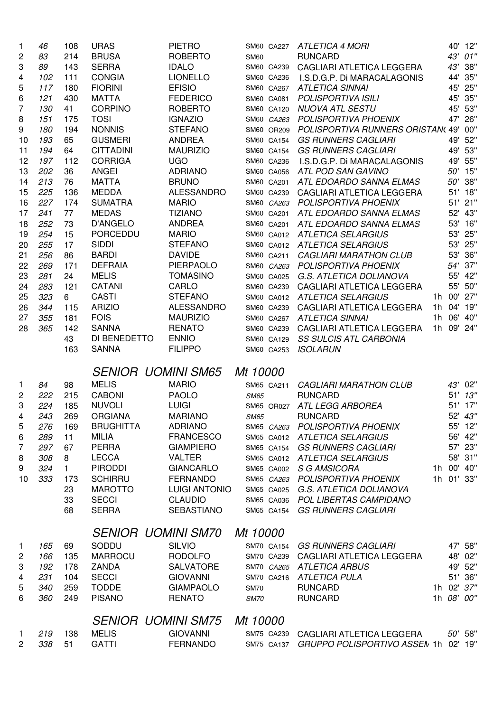| -1                             | 46         | 108          | <b>URAS</b>                  | <b>PIETRO</b>                      | SM60 CA227               | <b>ATLETICA 4 MORI</b>                                    |                | 40'    | 12"                |
|--------------------------------|------------|--------------|------------------------------|------------------------------------|--------------------------|-----------------------------------------------------------|----------------|--------|--------------------|
| 2                              | 83         | 214          | <b>BRUSA</b>                 | <b>ROBERTO</b>                     | <b>SM60</b>              | <b>RUNCARD</b>                                            |                | 43'    | 01"                |
| 3                              | 89         | 143          | <b>SERRA</b>                 | <b>IDALO</b>                       | SM60 CA239               | CAGLIARI ATLETICA LEGGERA                                 |                | 43'    | 38"                |
| 4                              | 102        | 111          | <b>CONGIA</b>                | <b>LIONELLO</b>                    | SM60 CA236               | I.S.D.G.P. Di MARACALAGONIS                               |                | 44'    | 35"                |
| 5                              | 117        | 180          | <b>FIORINI</b>               | <b>EFISIO</b>                      | SM60 CA267               | <b>ATLETICA SINNAI</b>                                    |                |        | 45' 25"            |
| 6                              | 121        | 430          | <b>MATTA</b>                 | <b>FEDERICO</b>                    | SM60 CA081               | POLISPORTIVA ISILI                                        |                |        | 45' 35"            |
| 7                              | 130        | 41           | <b>CORPINO</b>               | <b>ROBERTO</b>                     | SM60 CA120               | <b>NUOVA ATL SESTU</b>                                    |                |        | 45' 53"            |
| 8                              | 151        | 175          | <b>TOSI</b>                  | <b>IGNAZIO</b>                     | SM60 CA263               | POLISPORTIVA PHOENIX                                      |                |        | 47' 26"            |
| 9                              | 180        | 194          | <b>NONNIS</b>                | <b>STEFANO</b>                     | SM60 OR209               | POLISPORTIVA RUNNERS ORISTAN(49' 00"                      |                |        |                    |
| 10                             | 193        | 65           | <b>GUSMERI</b>               | <b>ANDREA</b>                      | SM60 CA154               | <b>GS RUNNERS CAGLIARI</b>                                |                |        | 49' 52"            |
| 11                             | 194        | 64           | <b>CITTADINI</b>             | <b>MAURIZIO</b>                    | SM60 CA154               | <b>GS RUNNERS CAGLIARI</b>                                |                |        | 49' 53"            |
| 12                             | 197        | 112          | <b>CORRIGA</b>               | <b>UGO</b>                         | SM60 CA236               | I.S.D.G.P. Di MARACALAGONIS                               |                |        | 49' 55"            |
| 13                             | 202        | 36           | <b>ANGEI</b>                 | <b>ADRIANO</b>                     | SM60 CA056               | ATL POD SAN GAVINO                                        |                |        | 50' 15"            |
| 14                             | 213        | 76           | <b>MATTA</b>                 | <b>BRUNO</b>                       | SM60 CA201               | ATL EDOARDO SANNA ELMAS                                   |                | 50'    | 38"                |
| 15                             | 225        | 136          | <b>MEDDA</b>                 | <b>ALESSANDRO</b>                  | SM60 CA239               | CAGLIARI ATLETICA LEGGERA                                 |                |        | 51' 18"            |
| 16                             | 227        | 174          | <b>SUMATRA</b>               | <b>MARIO</b>                       | SM60 CA263               | <b>POLISPORTIVA PHOENIX</b>                               |                |        | 51' 21"            |
| 17                             | 241        | 77           | <b>MEDAS</b>                 | <b>TIZIANO</b>                     | SM60 CA201               | ATL EDOARDO SANNA ELMAS                                   |                |        | 52' 43"            |
| 18                             | 252        | 73           | D'ANGELO                     | <b>ANDREA</b>                      | SM60 CA201               | ATL EDOARDO SANNA ELMAS                                   |                |        | 53' 16"            |
| 19                             | 254        | 15           | <b>PORCEDDU</b>              | <b>MARIO</b>                       | SM60 CA012               | <b>ATLETICA SELARGIUS</b>                                 |                | 53'    | 25"                |
| 20                             | 255        | 17           | <b>SIDDI</b>                 | <b>STEFANO</b>                     | SM60 CA012               | <b>ATLETICA SELARGIUS</b>                                 |                | 53'    | 25"                |
| 21                             | 256        | 86           | <b>BARDI</b>                 | <b>DAVIDE</b>                      | SM60 CA211               | <b>CAGLIARI MARATHON CLUB</b>                             |                | 53'    | 36"                |
| 22                             | 269        | 171          | <b>DEFRAIA</b>               | PIERPAOLO                          | SM60 CA263               | POLISPORTIVA PHOENIX                                      |                | 54'    | 37"                |
| 23                             | 281        | 24           | <b>MELIS</b>                 | <b>TOMASINO</b>                    | SM60 CA025               | G.S. ATLETICA DOLIANOVA                                   |                | 55'    | 42"                |
| 24                             | 283        | 121          | <b>CATANI</b>                | CARLO                              | SM60 CA239               | CAGLIARI ATLETICA LEGGERA                                 |                | 55'    | 50"                |
| 25                             | 323        | 6            | <b>CASTI</b>                 | <b>STEFANO</b>                     | SM60 CA012               | <b>ATLETICA SELARGIUS</b>                                 | 1h             | 00'    | 27"                |
| 26                             | 344        | 115          | <b>ARIZIO</b>                | <b>ALESSANDRO</b>                  | SM60 CA239               | CAGLIARI ATLETICA LEGGERA                                 | 1 <sub>h</sub> | 04'    | 19"                |
| 27                             | 355        | 181          | <b>FOIS</b>                  | <b>MAURIZIO</b>                    | SM60 CA267               | ATLETICA SINNAI                                           | 1 <sub>h</sub> | 06'    | 40"                |
| 28                             | 365        | 142          | <b>SANNA</b>                 | <b>RENATO</b>                      | SM60 CA239               | CAGLIARI ATLETICA LEGGERA                                 |                | 1h 09' | 24"                |
|                                |            | 43           | DI BENEDETTO                 | <b>ENNIO</b>                       | SM60 CA129               | <b>SS SULCIS ATL CARBONIA</b>                             |                |        |                    |
|                                |            | 163          | <b>SANNA</b>                 | <b>FILIPPO</b>                     | SM60 CA253               | <b>ISOLARUN</b>                                           |                |        |                    |
|                                |            |              |                              |                                    |                          |                                                           |                |        |                    |
|                                |            |              | <b>SENIOR UOMINI SM65</b>    |                                    | Mt 10000                 |                                                           |                |        |                    |
| $\mathbf{1}$                   | 84         | 98           | <b>MELIS</b>                 | <b>MARIO</b>                       | SM65 CA211               | <b>CAGLIARI MARATHON CLUB</b>                             |                | 43'    | 02"                |
| 2                              | 222        | 215          | <b>CABONI</b>                | <b>PAOLO</b>                       | <b>SM65</b>              | <b>RUNCARD</b>                                            |                | 51'    | 13"                |
| 3                              | 224        | 185          | <b>NUVOLI</b>                | <b>LUIGI</b>                       | SM65 OR027               | <b>ATL LEGG ARBOREA</b>                                   |                |        | 51' 17"            |
| 4                              | 243        | 269          | <b>ORGIANA</b>               | <b>MARIANO</b>                     | <b>SM65</b>              | <b>RUNCARD</b>                                            |                |        | 52' 43"            |
| 5                              | 276        | 169          | <b>BRUGHITTA</b>             | <b>ADRIANO</b>                     | SM65 CA263               | POLISPORTIVA PHOENIX                                      |                |        | 55' 12"            |
| 6                              | 289        | 11           | MILIA                        | <b>FRANCESCO</b>                   |                          | SM65 CA012 ATLETICA SELARGIUS                             |                |        | 56' 42"            |
| 7                              | 297        | 67           | <b>PERRA</b>                 | <b>GIAMPIERO</b>                   | SM65 CA154               | <b>GS RUNNERS CAGLIARI</b>                                |                |        | 57' 23"            |
| 8                              | 308        | 8            | <b>LECCA</b>                 | <b>VALTER</b>                      |                          | SM65 CA012 ATLETICA SELARGIUS                             |                |        | 58' 31"            |
| 9                              | 324        | $\mathbf{1}$ | <b>PIRODDI</b>               | <b>GIANCARLO</b>                   | SM65 CA002               | <b>S G AMSICORA</b>                                       |                |        | 1h 00' 40"         |
| 10                             | 333        | 173          | <b>SCHIRRU</b>               | <b>FERNANDO</b>                    |                          | SM65 CA263 POLISPORTIVA PHOENIX                           |                |        | 1h 01' 33"         |
|                                |            | 23           | <b>MAROTTO</b>               | <b>LUIGI ANTONIO</b>               | SM65 CA025               | G.S. ATLETICA DOLIANOVA                                   |                |        |                    |
|                                |            | 33           | <b>SECCI</b>                 | <b>CLAUDIO</b>                     |                          | SM65 CA036 POL LIBERTAS CAMPIDANO                         |                |        |                    |
|                                |            | 68           | <b>SERRA</b>                 | <b>SEBASTIANO</b>                  | SM65 CA154               | <b>GS RUNNERS CAGLIARI</b>                                |                |        |                    |
|                                |            |              |                              |                                    |                          |                                                           |                |        |                    |
|                                |            |              | <b>SENIOR UOMINI SM70</b>    |                                    | Mt 10000                 |                                                           |                |        |                    |
| $\mathbf{1}$                   | 165        | 69           | SODDU                        | <b>SILVIO</b>                      | SM70 CA154               | <b>GS RUNNERS CAGLIARI</b>                                |                |        | 47' 58"            |
| 2                              | 166        | 135          | <b>MARROCU</b>               | <b>RODOLFO</b>                     | SM70 CA239               | CAGLIARI ATLETICA LEGGERA                                 |                |        | 48' 02"            |
| 3                              | 192        | 178          | <b>ZANDA</b>                 | <b>SALVATORE</b>                   |                          | SM70 CA265 ATLETICA ARBUS                                 |                |        | 49' 52"            |
| 4                              | 231        | 104          | <b>SECCI</b>                 | <b>GIOVANNI</b>                    |                          | SM70 CA216 ATLETICA PULA                                  |                |        | 51' 36"            |
| 5                              | 340        | 259          | <b>TODDE</b>                 | <b>GIAMPAOLO</b>                   | <b>SM70</b>              | <b>RUNCARD</b>                                            |                |        | 1h 02' 37"         |
| 6                              | 360        | 249          | <b>PISANO</b>                | <b>RENATO</b>                      | <b>SM70</b>              | <b>RUNCARD</b>                                            |                |        | 1h 08' 00"         |
|                                |            |              | <b>SENIOR UOMINI SM75</b>    |                                    | Mt 10000                 |                                                           |                |        |                    |
|                                |            |              |                              |                                    |                          |                                                           |                |        |                    |
|                                |            |              |                              |                                    |                          |                                                           |                |        |                    |
| $\mathbf{1}$<br>$\overline{2}$ | 219<br>338 | 138<br>51    | <b>MELIS</b><br><b>GATTI</b> | <b>GIOVANNI</b><br><b>FERNANDO</b> | SM75 CA239<br>SM75 CA137 | CAGLIARI ATLETICA LEGGERA<br>GRUPPO POLISPORTIVO ASSEN 1h |                |        | 50' 58"<br>02' 19" |